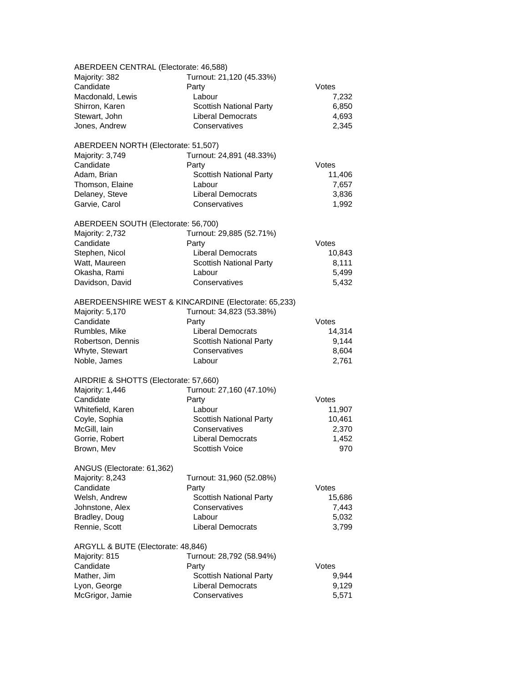| ABERDEEN CENTRAL (Electorate: 46,588) |                                                      |        |
|---------------------------------------|------------------------------------------------------|--------|
| Majority: 382                         | Turnout: 21,120 (45.33%)                             |        |
| Candidate                             | Party                                                | Votes  |
| Macdonald, Lewis                      | Labour                                               | 7,232  |
| Shirron, Karen                        | <b>Scottish National Party</b>                       | 6,850  |
| Stewart, John                         | <b>Liberal Democrats</b>                             | 4,693  |
| Jones, Andrew                         | Conservatives                                        | 2,345  |
| ABERDEEN NORTH (Electorate: 51,507)   |                                                      |        |
| Majority: 3,749                       | Turnout: 24,891 (48.33%)                             |        |
| Candidate                             | Party                                                | Votes  |
| Adam, Brian                           | <b>Scottish National Party</b>                       | 11,406 |
| Thomson, Elaine                       | Labour                                               | 7,657  |
| Delaney, Steve                        | <b>Liberal Democrats</b>                             | 3,836  |
| Garvie, Carol                         | Conservatives                                        | 1,992  |
| ABERDEEN SOUTH (Electorate: 56,700)   |                                                      |        |
| Majority: 2,732                       | Turnout: 29,885 (52.71%)                             |        |
| Candidate                             | Party                                                | Votes  |
| Stephen, Nicol                        | <b>Liberal Democrats</b>                             | 10,843 |
| Watt, Maureen                         | <b>Scottish National Party</b>                       | 8,111  |
| Okasha, Rami                          | Labour                                               | 5,499  |
| Davidson, David                       | Conservatives                                        | 5,432  |
|                                       | ABERDEENSHIRE WEST & KINCARDINE (Electorate: 65,233) |        |
| Majority: 5,170                       | Turnout: 34,823 (53.38%)                             |        |
| Candidate                             | Party                                                | Votes  |
| Rumbles, Mike                         | <b>Liberal Democrats</b>                             | 14,314 |
| Robertson, Dennis                     | <b>Scottish National Party</b>                       | 9,144  |
| Whyte, Stewart                        | Conservatives                                        | 8,604  |
| Noble, James                          | Labour                                               | 2,761  |
| AIRDRIE & SHOTTS (Electorate: 57,660) |                                                      |        |
| Majority: 1,446                       | Turnout: 27,160 (47.10%)                             |        |
| Candidate                             | Party                                                | Votes  |
| Whitefield, Karen                     | Labour                                               | 11,907 |
| Coyle, Sophia                         | <b>Scottish National Party</b>                       | 10,461 |
| McGill, lain                          | Conservatives                                        | 2,370  |
| Gorrie, Robert                        | <b>Liberal Democrats</b>                             | 1,452  |
| Brown, Mev                            | Scottish Voice                                       | 970    |
| ANGUS (Electorate: 61,362)            |                                                      |        |
| Majority: 8,243                       | Turnout: 31,960 (52.08%)                             |        |
| Candidate                             | Party                                                | Votes  |
| Welsh, Andrew                         | Scottish National Party                              | 15,686 |
| Johnstone, Alex                       | Conservatives                                        | 7,443  |
| Bradley, Doug                         | Labour                                               | 5,032  |
| Rennie, Scott                         | <b>Liberal Democrats</b>                             | 3,799  |
| ARGYLL & BUTE (Electorate: 48,846)    |                                                      |        |
| Majority: 815                         | Turnout: 28,792 (58.94%)                             |        |
| Candidate                             | Party                                                | Votes  |
| Mather, Jim                           | <b>Scottish National Party</b>                       | 9,944  |
| Lyon, George                          | <b>Liberal Democrats</b>                             | 9,129  |
| McGrigor, Jamie                       | Conservatives                                        | 5,571  |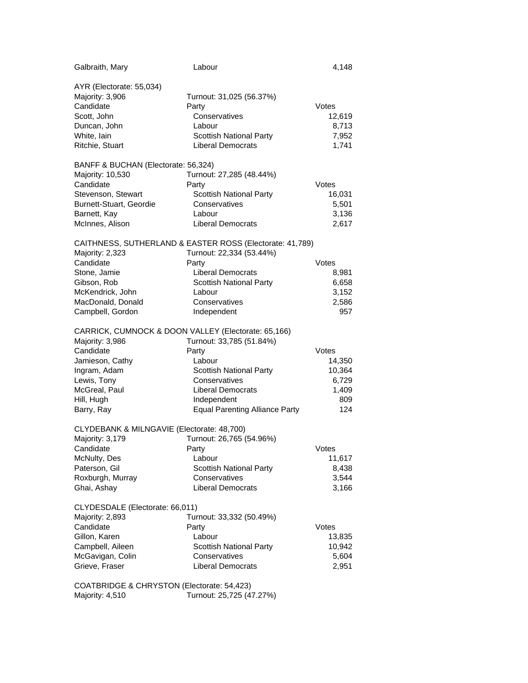| Galbraith, Mary                                     | Labour                                                   | 4,148  |
|-----------------------------------------------------|----------------------------------------------------------|--------|
| AYR (Electorate: 55,034)                            |                                                          |        |
| Majority: 3,906                                     | Turnout: 31,025 (56.37%)                                 |        |
| Candidate                                           | Party                                                    | Votes  |
| Scott, John                                         | Conservatives                                            | 12,619 |
| Duncan, John                                        | Labour                                                   | 8,713  |
| White, lain                                         | <b>Scottish National Party</b>                           | 7,952  |
| Ritchie, Stuart                                     | <b>Liberal Democrats</b>                                 | 1,741  |
|                                                     |                                                          |        |
| BANFF & BUCHAN (Electorate: 56,324)                 |                                                          |        |
| Majority: 10,530                                    | Turnout: 27,285 (48.44%)                                 |        |
| Candidate                                           | Party                                                    | Votes  |
| Stevenson, Stewart                                  | <b>Scottish National Party</b>                           | 16,031 |
| Burnett-Stuart, Geordie                             | Conservatives                                            | 5,501  |
| Barnett, Kay                                        | Labour                                                   | 3,136  |
| McInnes, Alison                                     | <b>Liberal Democrats</b>                                 | 2,617  |
|                                                     | CAITHNESS, SUTHERLAND & EASTER ROSS (Electorate: 41,789) |        |
| Majority: 2,323                                     | Turnout: 22,334 (53.44%)                                 |        |
| Candidate                                           | Party                                                    | Votes  |
| Stone, Jamie                                        | <b>Liberal Democrats</b>                                 | 8,981  |
| Gibson, Rob                                         | <b>Scottish National Party</b>                           | 6,658  |
| McKendrick, John                                    | Labour                                                   | 3,152  |
| MacDonald, Donald                                   | Conservatives                                            | 2,586  |
| Campbell, Gordon                                    | Independent                                              | 957    |
|                                                     |                                                          |        |
| CARRICK, CUMNOCK & DOON VALLEY (Electorate: 65,166) |                                                          |        |
| Majority: 3,986                                     | Turnout: 33,785 (51.84%)                                 |        |
| Candidate                                           | Party                                                    | Votes  |
| Jamieson, Cathy                                     | Labour                                                   | 14,350 |
| Ingram, Adam                                        | <b>Scottish National Party</b>                           | 10,364 |
| Lewis, Tony                                         | Conservatives                                            | 6,729  |
| McGreal, Paul                                       | <b>Liberal Democrats</b>                                 | 1,409  |
| Hill, Hugh                                          | Independent                                              | 809    |
| Barry, Ray                                          | <b>Equal Parenting Alliance Party</b>                    | 124    |
| CLYDEBANK & MILNGAVIE (Electorate: 48,700)          |                                                          |        |
| Majority: 3,179                                     | Turnout: 26,765 (54.96%)                                 |        |
| Candidate                                           | Party                                                    | Votes  |
| McNulty, Des                                        | Labour                                                   | 11,617 |
| Paterson, Gil                                       | <b>Scottish National Party</b>                           | 8,438  |
| Roxburgh, Murray                                    | Conservatives                                            | 3,544  |
| Ghai, Ashay                                         | <b>Liberal Democrats</b>                                 | 3,166  |
|                                                     |                                                          |        |
| CLYDESDALE (Electorate: 66,011)                     |                                                          |        |
| Majority: 2,893                                     | Turnout: 33,332 (50.49%)                                 |        |
| Candidate                                           | Party                                                    | Votes  |
| Gillon, Karen                                       | Labour                                                   | 13,835 |
| Campbell, Aileen                                    | Scottish National Party                                  | 10,942 |
| McGavigan, Colin                                    | Conservatives                                            | 5,604  |
| Grieve, Fraser                                      | <b>Liberal Democrats</b>                                 | 2,951  |
| COATBRIDGE & CHRYSTON (Electorate: 54,423)          |                                                          |        |
| Majority: 4,510                                     | Turnout: 25,725 (47.27%)                                 |        |
|                                                     |                                                          |        |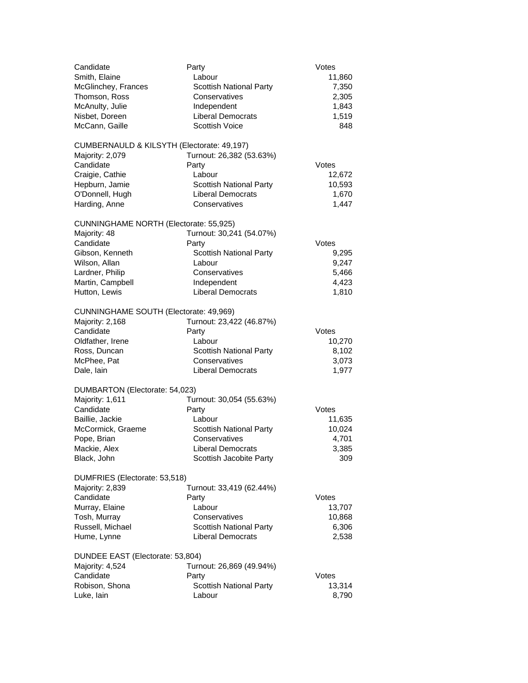| Candidate<br>Smith, Elaine<br>McGlinchey, Frances<br>Thomson, Ross<br>McAnulty, Julie<br>Nisbet, Doreen<br>McCann, Gaille                                       | Party<br>Labour<br><b>Scottish National Party</b><br>Conservatives<br>Independent<br><b>Liberal Democrats</b><br><b>Scottish Voice</b>         | Votes<br>11,860<br>7,350<br>2,305<br>1,843<br>1,519<br>848 |
|-----------------------------------------------------------------------------------------------------------------------------------------------------------------|------------------------------------------------------------------------------------------------------------------------------------------------|------------------------------------------------------------|
| CUMBERNAULD & KILSYTH (Electorate: 49,197)<br>Majority: 2,079<br>Candidate<br>Craigie, Cathie<br>Hepburn, Jamie<br>O'Donnell, Hugh<br>Harding, Anne             | Turnout: 26,382 (53.63%)<br>Party<br>Labour<br><b>Scottish National Party</b><br><b>Liberal Democrats</b><br>Conservatives                     | Votes<br>12,672<br>10,593<br>1,670<br>1,447                |
| CUNNINGHAME NORTH (Electorate: 55,925)<br>Majority: 48<br>Candidate<br>Gibson, Kenneth<br>Wilson, Allan<br>Lardner, Philip<br>Martin, Campbell<br>Hutton, Lewis | Turnout: 30,241 (54.07%)<br>Party<br><b>Scottish National Party</b><br>Labour<br>Conservatives<br>Independent<br><b>Liberal Democrats</b>      | Votes<br>9,295<br>9,247<br>5,466<br>4,423<br>1,810         |
| CUNNINGHAME SOUTH (Electorate: 49,969)<br>Majority: 2,168<br>Candidate<br>Oldfather, Irene<br>Ross, Duncan<br>McPhee, Pat<br>Dale, lain                         | Turnout: 23,422 (46.87%)<br>Party<br>Labour<br><b>Scottish National Party</b><br>Conservatives<br><b>Liberal Democrats</b>                     | Votes<br>10,270<br>8,102<br>3,073<br>1,977                 |
| DUMBARTON (Electorate: 54,023)<br>Majority: 1,611<br>Candidate<br>Baillie, Jackie<br>McCormick, Graeme<br>Pope, Brian<br>Mackie, Alex<br>Black, John            | Turnout: 30,054 (55.63%)<br>Party<br>Labour<br><b>Scottish National Party</b><br>Conservatives<br>Liberal Democrats<br>Scottish Jacobite Party | Votes<br>11,635<br>10,024<br>4,701<br>3,385<br>309         |
| DUMFRIES (Electorate: 53,518)<br>Majority: 2,839<br>Candidate<br>Murray, Elaine<br>Tosh, Murray<br>Russell, Michael<br>Hume, Lynne                              | Turnout: 33,419 (62.44%)<br>Party<br>Labour<br>Conservatives<br><b>Scottish National Party</b><br><b>Liberal Democrats</b>                     | Votes<br>13,707<br>10,868<br>6,306<br>2,538                |
| DUNDEE EAST (Electorate: 53,804)<br>Majority: 4,524<br>Candidate<br>Robison, Shona<br>Luke, lain                                                                | Turnout: 26,869 (49.94%)<br>Party<br>Scottish National Party<br>Labour                                                                         | Votes<br>13,314<br>8,790                                   |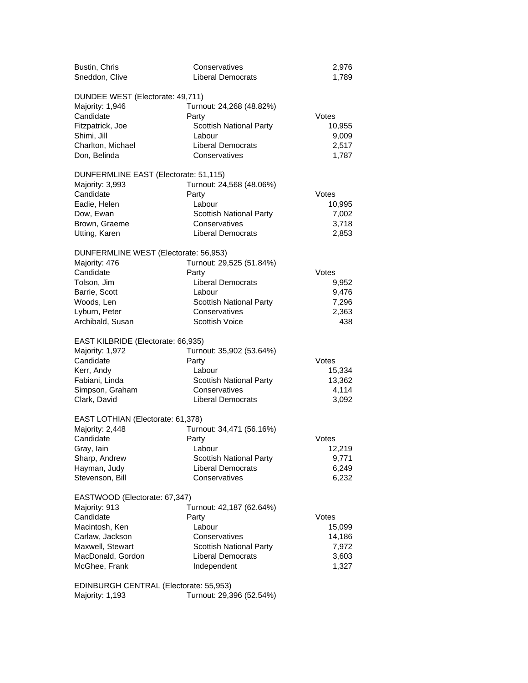| Bustin, Chris<br>Sneddon, Clive                                                                                                                            | Conservatives<br><b>Liberal Democrats</b>                                                                                                           | 2,976<br>1,789                                       |
|------------------------------------------------------------------------------------------------------------------------------------------------------------|-----------------------------------------------------------------------------------------------------------------------------------------------------|------------------------------------------------------|
| DUNDEE WEST (Electorate: 49,711)<br>Majority: 1,946<br>Candidate<br>Fitzpatrick, Joe<br>Shimi, Jill<br>Charlton, Michael<br>Don, Belinda                   | Turnout: 24,268 (48.82%)<br>Party<br><b>Scottish National Party</b><br>Labour<br><b>Liberal Democrats</b><br>Conservatives                          | Votes<br>10,955<br>9,009<br>2,517<br>1,787           |
| DUNFERMLINE EAST (Electorate: 51,115)<br>Majority: 3,993<br>Candidate<br>Eadie, Helen<br>Dow, Ewan<br>Brown, Graeme<br>Utting, Karen                       | Turnout: 24,568 (48.06%)<br>Party<br>Labour<br><b>Scottish National Party</b><br>Conservatives<br><b>Liberal Democrats</b>                          | Votes<br>10,995<br>7,002<br>3,718<br>2,853           |
| DUNFERMLINE WEST (Electorate: 56,953)<br>Majority: 476<br>Candidate<br>Tolson, Jim<br>Barrie, Scott<br>Woods, Len<br>Lyburn, Peter<br>Archibald, Susan     | Turnout: 29,525 (51.84%)<br>Party<br><b>Liberal Democrats</b><br>Labour<br><b>Scottish National Party</b><br>Conservatives<br><b>Scottish Voice</b> | Votes<br>9,952<br>9,476<br>7,296<br>2,363<br>438     |
| EAST KILBRIDE (Electorate: 66,935)<br>Majority: 1,972<br>Candidate<br>Kerr, Andy<br>Fabiani, Linda<br>Simpson, Graham<br>Clark, David                      | Turnout: 35,902 (53.64%)<br>Party<br>Labour<br>Scottish National Party<br>Conservatives<br><b>Liberal Democrats</b>                                 | Votes<br>15,334<br>13,362<br>4,114<br>3,092          |
| EAST LOTHIAN (Electorate: 61,378)<br>Majority: 2,448<br>Candidate<br>Gray, lain<br>Sharp, Andrew<br>Hayman, Judy<br>Stevenson, Bill                        | Turnout: 34,471 (56.16%)<br>Party<br>Labour<br>Scottish National Party<br><b>Liberal Democrats</b><br>Conservatives                                 | Votes<br>12,219<br>9,771<br>6,249<br>6,232           |
| EASTWOOD (Electorate: 67,347)<br>Majority: 913<br>Candidate<br>Macintosh, Ken<br>Carlaw, Jackson<br>Maxwell, Stewart<br>MacDonald, Gordon<br>McGhee, Frank | Turnout: 42,187 (62.64%)<br>Party<br>Labour<br>Conservatives<br>Scottish National Party<br><b>Liberal Democrats</b><br>Independent                  | Votes<br>15,099<br>14,186<br>7,972<br>3,603<br>1,327 |
| EDINBURGH CENTRAL (Electorate: 55,953)                                                                                                                     |                                                                                                                                                     |                                                      |

Majority: 1,193 Turnout: 29,396 (52.54%)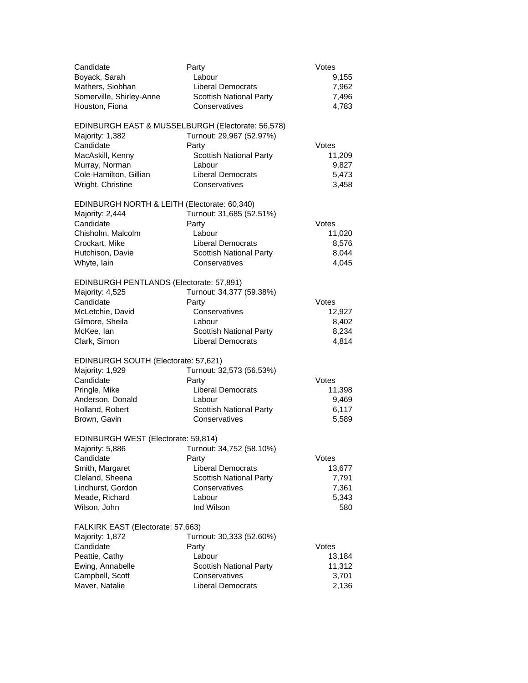| Candidate<br>Boyack, Sarah<br>Mathers, Siobhan<br>Somerville, Shirley-Anne<br>Houston, Fiona                                                                           | Party<br>Labour<br><b>Liberal Democrats</b><br><b>Scottish National Party</b><br>Conservatives                                           | Votes<br>9,155<br>7,962<br>7,496<br>4,783         |
|------------------------------------------------------------------------------------------------------------------------------------------------------------------------|------------------------------------------------------------------------------------------------------------------------------------------|---------------------------------------------------|
| EDINBURGH EAST & MUSSELBURGH (Electorate: 56,578)<br>Majority: 1,382<br>Candidate<br>MacAskill, Kenny<br>Murray, Norman<br>Cole-Hamilton, Gillian<br>Wright, Christine | Turnout: 29,967 (52.97%)<br>Party<br><b>Scottish National Party</b><br>Labour<br><b>Liberal Democrats</b><br>Conservatives               | Votes<br>11,209<br>9,827<br>5,473<br>3,458        |
| EDINBURGH NORTH & LEITH (Electorate: 60,340)<br>Majority: 2,444<br>Candidate<br>Chisholm, Malcolm<br>Crockart, Mike<br>Hutchison, Davie<br>Whyte, lain                 | Turnout: 31,685 (52.51%)<br>Party<br>Labour<br><b>Liberal Democrats</b><br>Scottish National Party<br>Conservatives                      | Votes<br>11,020<br>8,576<br>8,044<br>4,045        |
| EDINBURGH PENTLANDS (Electorate: 57,891)<br>Majority: 4,525<br>Candidate<br>McLetchie, David<br>Gilmore, Sheila<br>McKee, lan<br>Clark, Simon                          | Turnout: 34,377 (59.38%)<br>Party<br>Conservatives<br>Labour<br><b>Scottish National Party</b><br><b>Liberal Democrats</b>               | Votes<br>12,927<br>8,402<br>8,234<br>4,814        |
| EDINBURGH SOUTH (Electorate: 57,621)<br>Majority: 1,929<br>Candidate<br>Pringle, Mike<br>Anderson, Donald<br>Holland, Robert<br>Brown, Gavin                           | Turnout: 32,573 (56.53%)<br>Party<br><b>Liberal Democrats</b><br>Labour<br><b>Scottish National Party</b><br>Conservatives               | Votes<br>11,398<br>9,469<br>6,117<br>5,589        |
| EDINBURGH WEST (Electorate: 59,814)<br>Majority: 5,886<br>Candidate<br>Smith, Margaret<br>Cleland, Sheena<br>Lindhurst, Gordon<br>Meade, Richard<br>Wilson, John       | Turnout: 34,752 (58.10%)<br>Party<br><b>Liberal Democrats</b><br><b>Scottish National Party</b><br>Conservatives<br>Labour<br>Ind Wilson | Votes<br>13,677<br>7,791<br>7,361<br>5,343<br>580 |
| FALKIRK EAST (Electorate: 57,663)<br>Majority: 1,872<br>Candidate<br>Peattie, Cathy<br>Ewing, Annabelle<br>Campbell, Scott<br>Maver, Natalie                           | Turnout: 30,333 (52.60%)<br>Party<br>Labour<br><b>Scottish National Party</b><br>Conservatives<br><b>Liberal Democrats</b>               | Votes<br>13,184<br>11,312<br>3,701<br>2,136       |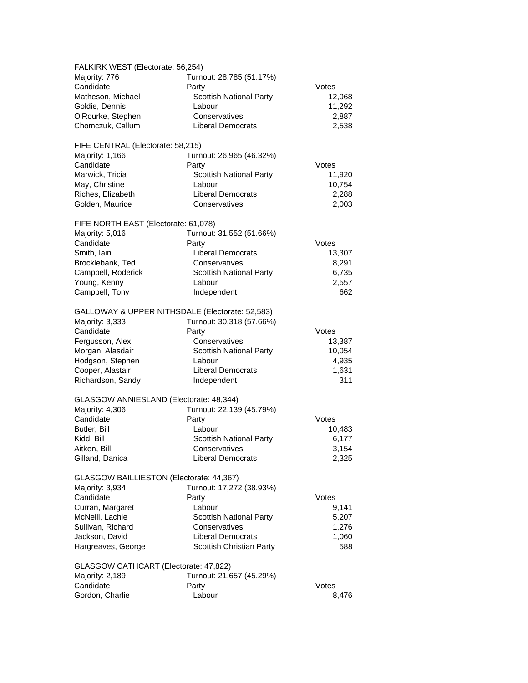| FALKIRK WEST (Electorate: 56,254)               |                                |        |  |
|-------------------------------------------------|--------------------------------|--------|--|
| Majority: 776                                   | Turnout: 28,785 (51.17%)       |        |  |
| Candidate                                       | Party                          | Votes  |  |
| Matheson, Michael                               | Scottish National Party        | 12,068 |  |
| Goldie, Dennis                                  | Labour                         | 11,292 |  |
|                                                 |                                |        |  |
| O'Rourke, Stephen                               | Conservatives                  | 2,887  |  |
| Chomczuk, Callum                                | <b>Liberal Democrats</b>       | 2,538  |  |
| FIFE CENTRAL (Electorate: 58,215)               |                                |        |  |
| Majority: 1,166                                 | Turnout: 26,965 (46.32%)       |        |  |
| Candidate                                       | Party                          | Votes  |  |
| Marwick, Tricia                                 | <b>Scottish National Party</b> | 11,920 |  |
| May, Christine                                  | Labour                         | 10,754 |  |
| Riches, Elizabeth                               | <b>Liberal Democrats</b>       |        |  |
|                                                 |                                | 2,288  |  |
| Golden, Maurice                                 | Conservatives                  | 2,003  |  |
| FIFE NORTH EAST (Electorate: 61,078)            |                                |        |  |
| Majority: 5,016                                 | Turnout: 31,552 (51.66%)       |        |  |
| Candidate                                       | Party                          | Votes  |  |
| Smith, lain                                     | <b>Liberal Democrats</b>       | 13,307 |  |
| Brocklebank, Ted                                | Conservatives                  | 8,291  |  |
| Campbell, Roderick                              | Scottish National Party        | 6,735  |  |
| Young, Kenny                                    | Labour                         | 2,557  |  |
|                                                 |                                |        |  |
| Campbell, Tony                                  | Independent                    | 662    |  |
| GALLOWAY & UPPER NITHSDALE (Electorate: 52,583) |                                |        |  |
| Majority: 3,333                                 | Turnout: 30,318 (57.66%)       |        |  |
| Candidate                                       | Party                          | Votes  |  |
| Fergusson, Alex                                 | Conservatives                  | 13,387 |  |
| Morgan, Alasdair                                | <b>Scottish National Party</b> | 10,054 |  |
| Hodgson, Stephen                                | Labour                         | 4,935  |  |
|                                                 | <b>Liberal Democrats</b>       |        |  |
| Cooper, Alastair                                |                                | 1,631  |  |
| Richardson, Sandy                               | Independent                    | 311    |  |
| GLASGOW ANNIESLAND (Electorate: 48,344)         |                                |        |  |
| Majority: 4,306                                 | Turnout: 22,139 (45.79%)       |        |  |
| Candidate                                       | Party                          | Votes  |  |
| Butler, Bill                                    | Labour                         | 10,483 |  |
| Kidd, Bill                                      | <b>Scottish National Party</b> | 6,177  |  |
| Aitken, Bill                                    | Conservatives                  |        |  |
|                                                 |                                | 3,154  |  |
| Gilland, Danica                                 | <b>Liberal Democrats</b>       | 2,325  |  |
| GLASGOW BAILLIESTON (Electorate: 44,367)        |                                |        |  |
| Majority: 3,934                                 | Turnout: 17,272 (38.93%)       |        |  |
| Candidate                                       | Party                          | Votes  |  |
| Curran, Margaret                                | Labour                         | 9,141  |  |
| McNeill, Lachie                                 | Scottish National Party        | 5,207  |  |
| Sullivan, Richard                               | Conservatives                  | 1,276  |  |
|                                                 |                                |        |  |
| Jackson, David                                  | <b>Liberal Democrats</b>       | 1,060  |  |
| Hargreaves, George                              | Scottish Christian Party       | 588    |  |
| GLASGOW CATHCART (Electorate: 47,822)           |                                |        |  |
| Majority: 2,189                                 | Turnout: 21,657 (45.29%)       |        |  |
| Candidate                                       | Party                          | Votes  |  |
| Gordon, Charlie                                 | Labour                         | 8,476  |  |
|                                                 |                                |        |  |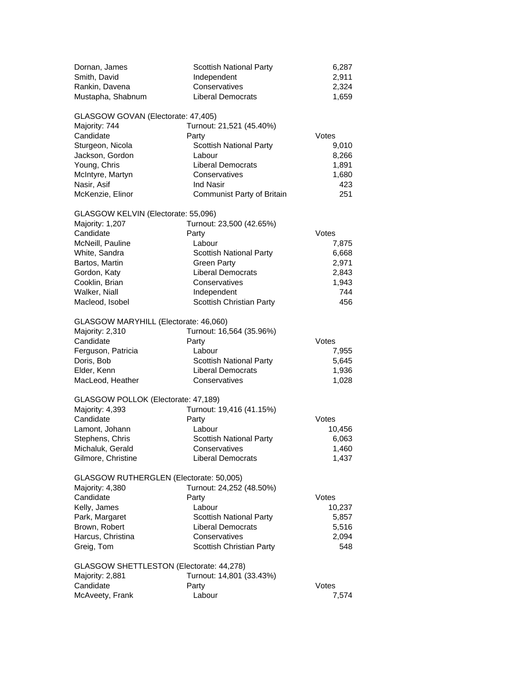| Dornan, James<br>Smith, David<br>Rankin, Davena<br>Mustapha, Shabnum                                                                                                                             | <b>Scottish National Party</b><br>Independent<br>Conservatives<br><b>Liberal Democrats</b>                                                                                                  | 6,287<br>2,911<br>2,324<br>1,659                                 |
|--------------------------------------------------------------------------------------------------------------------------------------------------------------------------------------------------|---------------------------------------------------------------------------------------------------------------------------------------------------------------------------------------------|------------------------------------------------------------------|
| GLASGOW GOVAN (Electorate: 47,405)<br>Majority: 744<br>Candidate<br>Sturgeon, Nicola<br>Jackson, Gordon<br>Young, Chris<br>McIntyre, Martyn<br>Nasir, Asif<br>McKenzie, Elinor                   | Turnout: 21,521 (45.40%)<br>Party<br><b>Scottish National Party</b><br>Labour<br><b>Liberal Democrats</b><br>Conservatives<br><b>Ind Nasir</b><br>Communist Party of Britain                | Votes<br>9,010<br>8,266<br>1,891<br>1,680<br>423<br>251          |
| GLASGOW KELVIN (Electorate: 55,096)<br>Majority: 1,207<br>Candidate<br>McNeill, Pauline<br>White, Sandra<br>Bartos, Martin<br>Gordon, Katy<br>Cooklin, Brian<br>Walker, Niall<br>Macleod, Isobel | Turnout: 23,500 (42.65%)<br>Party<br>Labour<br><b>Scottish National Party</b><br><b>Green Party</b><br><b>Liberal Democrats</b><br>Conservatives<br>Independent<br>Scottish Christian Party | Votes<br>7,875<br>6,668<br>2,971<br>2,843<br>1,943<br>744<br>456 |
| GLASGOW MARYHILL (Electorate: 46,060)<br>Majority: 2,310<br>Candidate<br>Ferguson, Patricia<br>Doris, Bob<br>Elder, Kenn<br>MacLeod, Heather                                                     | Turnout: 16,564 (35.96%)<br>Party<br>Labour<br><b>Scottish National Party</b><br><b>Liberal Democrats</b><br>Conservatives                                                                  | Votes<br>7,955<br>5,645<br>1,936<br>1,028                        |
| GLASGOW POLLOK (Electorate: 47,189)<br>Majority: 4,393<br>Candidate<br>Lamont, Johann<br>Stephens, Chris<br>Michaluk, Gerald<br>Gilmore, Christine                                               | Turnout: 19,416 (41.15%)<br>Party<br>Labour<br><b>Scottish National Party</b><br>Conservatives<br><b>Liberal Democrats</b>                                                                  | Votes<br>10,456<br>6,063<br>1,460<br>1,437                       |
| GLASGOW RUTHERGLEN (Electorate: 50,005)<br>Majority: 4,380<br>Candidate<br>Kelly, James<br>Park, Margaret<br>Brown, Robert<br>Harcus, Christina<br>Greig, Tom                                    | Turnout: 24,252 (48.50%)<br>Party<br>Labour<br><b>Scottish National Party</b><br><b>Liberal Democrats</b><br>Conservatives<br>Scottish Christian Party                                      | Votes<br>10,237<br>5,857<br>5,516<br>2,094<br>548                |
| GLASGOW SHETTLESTON (Electorate: 44,278)<br>Majority: 2,881<br>Candidate<br>McAveety, Frank                                                                                                      | Turnout: 14,801 (33.43%)<br>Party<br>Labour                                                                                                                                                 | Votes<br>7,574                                                   |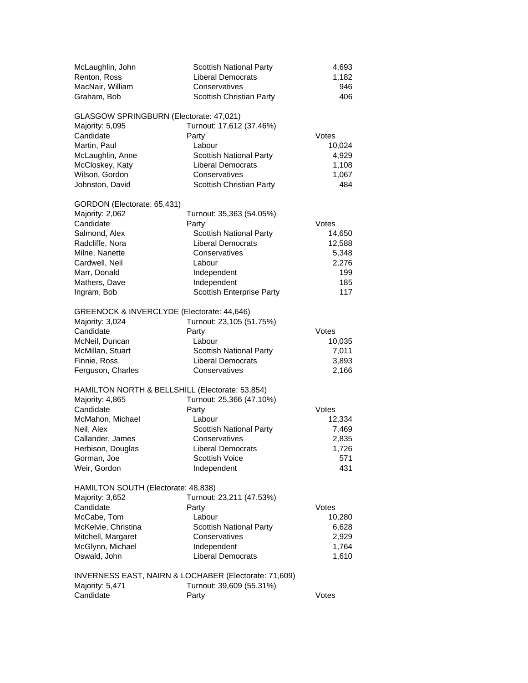| McLaughlin, John<br>Renton, Ross<br>MacNair, William<br>Graham, Bob                                                                                                                       | <b>Scottish National Party</b><br><b>Liberal Democrats</b><br>Conservatives<br>Scottish Christian Party                                                                                      | 4,693<br>1,182<br>946<br>406                                     |
|-------------------------------------------------------------------------------------------------------------------------------------------------------------------------------------------|----------------------------------------------------------------------------------------------------------------------------------------------------------------------------------------------|------------------------------------------------------------------|
| GLASGOW SPRINGBURN (Electorate: 47,021)<br>Majority: 5,095<br>Candidate<br>Martin, Paul<br>McLaughlin, Anne<br>McCloskey, Katy<br>Wilson, Gordon<br>Johnston, David                       | Turnout: 17,612 (37.46%)<br>Party<br>Labour<br><b>Scottish National Party</b><br><b>Liberal Democrats</b><br>Conservatives<br>Scottish Christian Party                                       | Votes<br>10,024<br>4,929<br>1,108<br>1,067<br>484                |
| GORDON (Electorate: 65,431)<br>Majority: 2,062<br>Candidate<br>Salmond, Alex<br>Radcliffe, Nora<br>Milne, Nanette<br>Cardwell, Neil<br>Marr, Donald<br>Mathers, Dave<br>Ingram, Bob       | Turnout: 35,363 (54.05%)<br>Party<br><b>Scottish National Party</b><br><b>Liberal Democrats</b><br>Conservatives<br>Labour<br>Independent<br>Independent<br><b>Scottish Enterprise Party</b> | Votes<br>14,650<br>12,588<br>5,348<br>2,276<br>199<br>185<br>117 |
| GREENOCK & INVERCLYDE (Electorate: 44,646)<br>Majority: 3,024<br>Candidate<br>McNeil, Duncan<br>McMillan, Stuart<br>Finnie, Ross<br>Ferguson, Charles                                     | Turnout: 23,105 (51.75%)<br>Party<br>Labour<br><b>Scottish National Party</b><br><b>Liberal Democrats</b><br>Conservatives                                                                   | Votes<br>10,035<br>7,011<br>3,893<br>2,166                       |
| HAMILTON NORTH & BELLSHILL (Electorate: 53,854)<br>Majority: 4,865<br>Candidate<br>McMahon, Michael<br>Neil, Alex<br>Callander, James<br>Herbison, Douglas<br>Gorman, Joe<br>Weir, Gordon | Turnout: 25,366 (47.10%)<br>Party<br>Labour<br><b>Scottish National Party</b><br>Conservatives<br>Liberal Democrats<br><b>Scottish Voice</b><br>Independent                                  | Votes<br>12,334<br>7,469<br>2,835<br>1,726<br>571<br>431         |
| HAMILTON SOUTH (Electorate: 48,838)<br>Majority: 3,652<br>Candidate<br>McCabe, Tom<br>McKelvie, Christina<br>Mitchell, Margaret<br>McGlynn, Michael<br>Oswald, John                       | Turnout: 23,211 (47.53%)<br>Party<br>Labour<br>Scottish National Party<br>Conservatives<br>Independent<br><b>Liberal Democrats</b>                                                           | Votes<br>10,280<br>6,628<br>2,929<br>1,764<br>1,610              |
| INVERNESS EAST, NAIRN & LOCHABER (Electorate: 71,609)<br>Majority: 5,471<br>Candidate                                                                                                     | Turnout: 39,609 (55.31%)<br>Party                                                                                                                                                            | Votes                                                            |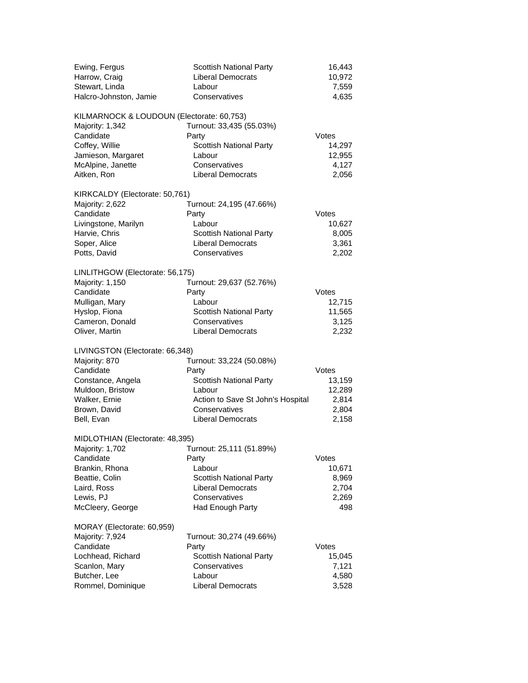| Ewing, Fergus<br>Harrow, Craig<br>Stewart, Linda<br>Halcro-Johnston, Jamie                                                                            | <b>Scottish National Party</b><br><b>Liberal Democrats</b><br>Labour<br>Conservatives                                                                    | 16,443<br>10,972<br>7,559<br>4,635                   |
|-------------------------------------------------------------------------------------------------------------------------------------------------------|----------------------------------------------------------------------------------------------------------------------------------------------------------|------------------------------------------------------|
| KILMARNOCK & LOUDOUN (Electorate: 60,753)<br>Majority: 1,342<br>Candidate<br>Coffey, Willie<br>Jamieson, Margaret<br>McAlpine, Janette<br>Aitken, Ron | Turnout: 33,435 (55.03%)<br>Party<br>Scottish National Party<br>Labour<br>Conservatives<br><b>Liberal Democrats</b>                                      | Votes<br>14,297<br>12,955<br>4,127<br>2,056          |
| KIRKCALDY (Electorate: 50,761)<br>Majority: 2,622<br>Candidate<br>Livingstone, Marilyn<br>Harvie, Chris<br>Soper, Alice<br>Potts, David               | Turnout: 24,195 (47.66%)<br>Party<br>Labour<br><b>Scottish National Party</b><br><b>Liberal Democrats</b><br>Conservatives                               | Votes<br>10,627<br>8,005<br>3,361<br>2,202           |
| LINLITHGOW (Electorate: 56,175)<br>Majority: 1,150<br>Candidate<br>Mulligan, Mary<br>Hyslop, Fiona<br>Cameron, Donald<br>Oliver, Martin               | Turnout: 29,637 (52.76%)<br>Party<br>Labour<br><b>Scottish National Party</b><br>Conservatives<br><b>Liberal Democrats</b>                               | Votes<br>12,715<br>11,565<br>3,125<br>2,232          |
| LIVINGSTON (Electorate: 66,348)<br>Majority: 870<br>Candidate<br>Constance, Angela<br>Muldoon, Bristow<br>Walker, Ernie<br>Brown, David<br>Bell, Evan | Turnout: 33,224 (50.08%)<br>Party<br>Scottish National Party<br>Labour<br>Action to Save St John's Hospital<br>Conservatives<br><b>Liberal Democrats</b> | Votes<br>13,159<br>12,289<br>2,814<br>2,804<br>2,158 |
| MIDLOTHIAN (Electorate: 48,395)<br>Majority: 1,702<br>Candidate<br>Brankin, Rhona<br>Beattie, Colin<br>Laird, Ross<br>Lewis, PJ<br>McCleery, George   | Turnout: 25,111 (51.89%)<br>Party<br>Labour<br><b>Scottish National Party</b><br><b>Liberal Democrats</b><br>Conservatives<br><b>Had Enough Party</b>    | Votes<br>10,671<br>8,969<br>2,704<br>2,269<br>498    |
| MORAY (Electorate: 60,959)<br>Majority: 7,924<br>Candidate<br>Lochhead, Richard<br>Scanlon, Mary<br>Butcher, Lee<br>Rommel, Dominique                 | Turnout: 30,274 (49.66%)<br>Party<br><b>Scottish National Party</b><br>Conservatives<br>Labour<br><b>Liberal Democrats</b>                               | Votes<br>15,045<br>7,121<br>4,580<br>3,528           |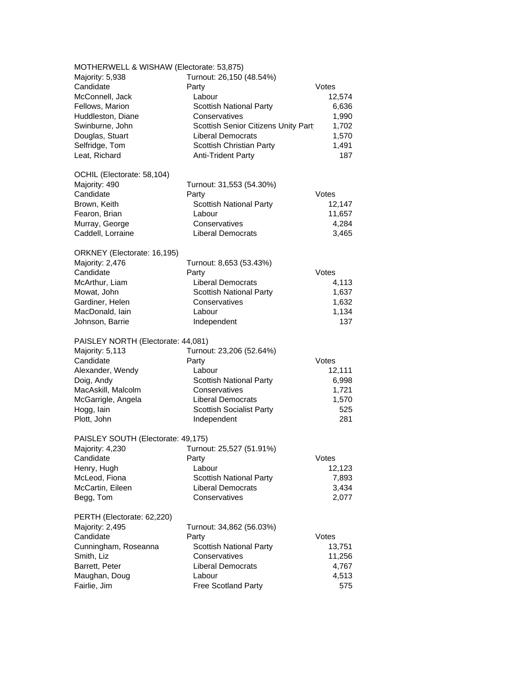| MOTHERWELL & WISHAW (Electorate: 53,875) |                                     |        |
|------------------------------------------|-------------------------------------|--------|
| Majority: 5,938                          | Turnout: 26,150 (48.54%)            |        |
| Candidate                                | Party                               | Votes  |
| McConnell, Jack                          | Labour                              | 12,574 |
| Fellows, Marion                          | <b>Scottish National Party</b>      | 6,636  |
|                                          | Conservatives                       |        |
| Huddleston, Diane                        |                                     | 1,990  |
| Swinburne, John                          | Scottish Senior Citizens Unity Part | 1,702  |
| Douglas, Stuart                          | Liberal Democrats                   | 1,570  |
| Selfridge, Tom                           | Scottish Christian Party            | 1,491  |
| Leat, Richard                            | <b>Anti-Trident Party</b>           | 187    |
|                                          |                                     |        |
| OCHIL (Electorate: 58,104)               |                                     |        |
| Majority: 490                            | Turnout: 31,553 (54.30%)            |        |
| Candidate                                | Party                               | Votes  |
| Brown, Keith                             | <b>Scottish National Party</b>      | 12,147 |
| Fearon, Brian                            | Labour                              | 11,657 |
| Murray, George                           | Conservatives                       | 4,284  |
| Caddell, Lorraine                        | <b>Liberal Democrats</b>            | 3,465  |
|                                          |                                     |        |
| ORKNEY (Electorate: 16,195)              |                                     |        |
| Majority: 2,476                          | Turnout: 8,653 (53.43%)             |        |
| Candidate                                | Party                               | Votes  |
| McArthur, Liam                           | <b>Liberal Democrats</b>            | 4,113  |
| Mowat, John                              | <b>Scottish National Party</b>      | 1,637  |
| Gardiner, Helen                          | Conservatives                       | 1,632  |
| MacDonald, lain                          | Labour                              | 1,134  |
| Johnson, Barrie                          | Independent                         | 137    |
|                                          |                                     |        |
| PAISLEY NORTH (Electorate: 44,081)       |                                     |        |
| Majority: 5,113                          | Turnout: 23,206 (52.64%)            |        |
| Candidate                                | Party                               | Votes  |
| Alexander, Wendy                         | Labour                              | 12,111 |
| Doig, Andy                               | <b>Scottish National Party</b>      | 6,998  |
| MacAskill, Malcolm                       | Conservatives                       | 1,721  |
| McGarrigle, Angela                       | <b>Liberal Democrats</b>            | 1,570  |
| Hogg, lain                               | <b>Scottish Socialist Party</b>     | 525    |
| Plott, John                              | Independent                         | 281    |
|                                          |                                     |        |
| PAISLEY SOUTH (Electorate: 49,175)       |                                     |        |
| Majority: 4,230 Turnout: 25,527 (51.91%) |                                     |        |
| Candidate                                | Party                               | Votes  |
| Henry, Hugh                              | Labour                              | 12,123 |
| McLeod, Fiona                            | <b>Scottish National Party</b>      | 7,893  |
| McCartin, Eileen                         | <b>Liberal Democrats</b>            | 3,434  |
| Begg, Tom                                | Conservatives                       | 2,077  |
|                                          |                                     |        |
| PERTH (Electorate: 62,220)               |                                     |        |
| Majority: 2,495                          | Turnout: 34,862 (56.03%)            |        |
| Candidate                                | Party                               | Votes  |
| Cunningham, Roseanna                     | <b>Scottish National Party</b>      | 13,751 |
| Smith, Liz                               | Conservatives                       | 11,256 |
| Barrett, Peter                           | <b>Liberal Democrats</b>            | 4,767  |
| Maughan, Doug                            | Labour                              | 4,513  |
|                                          |                                     |        |
| Fairlie, Jim                             | Free Scotland Party                 | 575    |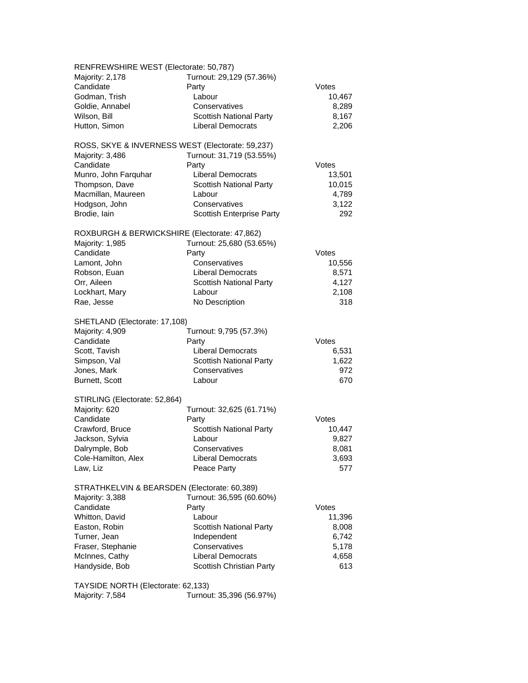| RENFREWSHIRE WEST (Electorate: 50,787)           |                                |        |
|--------------------------------------------------|--------------------------------|--------|
| Majority: 2,178                                  | Turnout: 29,129 (57.36%)       |        |
| Candidate                                        | Party                          | Votes  |
|                                                  |                                |        |
| Godman, Trish                                    | Labour                         | 10,467 |
| Goldie, Annabel                                  | Conservatives                  | 8,289  |
| Wilson, Bill                                     | Scottish National Party        | 8,167  |
| Hutton, Simon                                    | <b>Liberal Democrats</b>       | 2,206  |
| ROSS, SKYE & INVERNESS WEST (Electorate: 59,237) |                                |        |
| Majority: 3,486                                  | Turnout: 31,719 (53.55%)       |        |
| Candidate                                        |                                | Votes  |
|                                                  | Party                          |        |
| Munro, John Farquhar                             | Liberal Democrats              | 13,501 |
| Thompson, Dave                                   | <b>Scottish National Party</b> | 10,015 |
| Macmillan, Maureen                               | Labour                         | 4,789  |
| Hodgson, John                                    | Conservatives                  | 3,122  |
| Brodie, lain                                     | Scottish Enterprise Party      | 292    |
| ROXBURGH & BERWICKSHIRE (Electorate: 47,862)     |                                |        |
| Majority: 1,985                                  | Turnout: 25,680 (53.65%)       |        |
| Candidate                                        | Party                          | Votes  |
|                                                  | Conservatives                  |        |
| Lamont, John                                     |                                | 10,556 |
| Robson, Euan                                     | <b>Liberal Democrats</b>       | 8,571  |
| Orr, Aileen                                      | <b>Scottish National Party</b> | 4,127  |
| Lockhart, Mary                                   | Labour                         | 2,108  |
| Rae, Jesse                                       | No Description                 | 318    |
| SHETLAND (Electorate: 17,108)                    |                                |        |
| Majority: 4,909                                  | Turnout: 9,795 (57.3%)         |        |
| Candidate                                        | Party                          | Votes  |
| Scott, Tavish                                    | <b>Liberal Democrats</b>       | 6,531  |
| Simpson, Val                                     | <b>Scottish National Party</b> | 1,622  |
|                                                  |                                |        |
| Jones, Mark                                      | Conservatives                  | 972    |
| Burnett, Scott                                   | Labour                         | 670    |
| STIRLING (Electorate: 52,864)                    |                                |        |
| Majority: 620                                    | Turnout: 32,625 (61.71%)       |        |
| Candidate                                        | Party                          | Votes  |
| Crawford, Bruce                                  | <b>Scottish National Party</b> | 10,447 |
| Jackson, Sylvia                                  | Labour                         | 9,827  |
| Dalrymple, Bob                                   | Conservatives                  | 8,081  |
| Cole-Hamilton, Alex                              | <b>Liberal Democrats</b>       | 3,693  |
| Law, Liz                                         | Peace Party                    | 577    |
|                                                  |                                |        |
| STRATHKELVIN & BEARSDEN (Electorate: 60,389)     |                                |        |
| Majority: 3,388                                  | Turnout: 36,595 (60.60%)       |        |
| Candidate                                        | Party                          | Votes  |
| Whitton, David                                   | Labour                         | 11,396 |
| Easton, Robin                                    | <b>Scottish National Party</b> | 8,008  |
| Turner, Jean                                     | Independent                    | 6,742  |
| Fraser, Stephanie                                | Conservatives                  | 5,178  |
| McInnes, Cathy                                   | <b>Liberal Democrats</b>       | 4,658  |
|                                                  |                                |        |
| Handyside, Bob                                   | Scottish Christian Party       | 613    |
| TAYSIDE NORTH (Electorate: 62,133)               |                                |        |

Majority: 7,584 Turnout: 35,396 (56.97%)